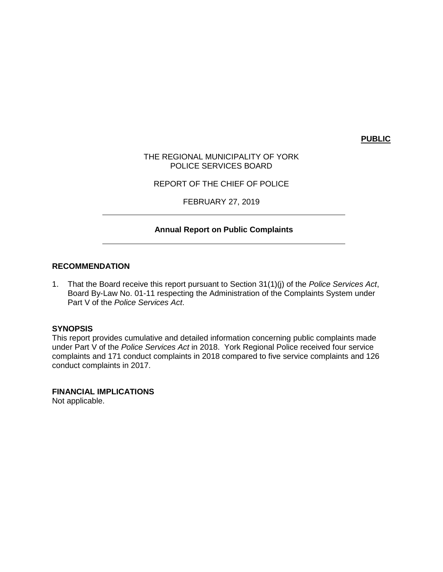**PUBLIC**

THE REGIONAL MUNICIPALITY OF YORK POLICE SERVICES BOARD

REPORT OF THE CHIEF OF POLICE

FEBRUARY 27, 2019

## **Annual Report on Public Complaints**

### **RECOMMENDATION**

1. That the Board receive this report pursuant to Section 31(1)(j) of the *Police Services Act*, Board By-Law No. 01-11 respecting the Administration of the Complaints System under Part V of the *Police Services Act*.

#### **SYNOPSIS**

This report provides cumulative and detailed information concerning public complaints made under Part V of the *Police Services Act* in 2018. York Regional Police received four service complaints and 171 conduct complaints in 2018 compared to five service complaints and 126 conduct complaints in 2017.

**FINANCIAL IMPLICATIONS** Not applicable.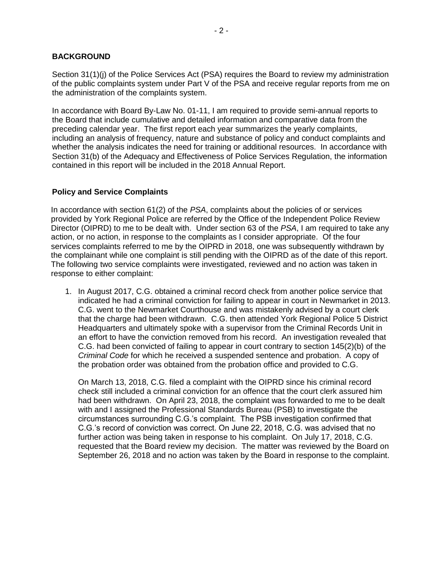## **BACKGROUND**

Section 31(1)(j) of the Police Services Act (PSA) requires the Board to review my administration of the public complaints system under Part V of the PSA and receive regular reports from me on the administration of the complaints system.

In accordance with Board By-Law No. 01-11, I am required to provide semi-annual reports to the Board that include cumulative and detailed information and comparative data from the preceding calendar year. The first report each year summarizes the yearly complaints, including an analysis of frequency, nature and substance of policy and conduct complaints and whether the analysis indicates the need for training or additional resources. In accordance with Section 31(b) of the Adequacy and Effectiveness of Police Services Regulation, the information contained in this report will be included in the 2018 Annual Report.

### **Policy and Service Complaints**

In accordance with section 61(2) of the *PSA*, complaints about the policies of or services provided by York Regional Police are referred by the Office of the Independent Police Review Director (OIPRD) to me to be dealt with. Under section 63 of the *PSA*, I am required to take any action, or no action, in response to the complaints as I consider appropriate. Of the four services complaints referred to me by the OIPRD in 2018, one was subsequently withdrawn by the complainant while one complaint is still pending with the OIPRD as of the date of this report. The following two service complaints were investigated, reviewed and no action was taken in response to either complaint:

1. In August 2017, C.G. obtained a criminal record check from another police service that indicated he had a criminal conviction for failing to appear in court in Newmarket in 2013. C.G. went to the Newmarket Courthouse and was mistakenly advised by a court clerk that the charge had been withdrawn. C.G. then attended York Regional Police 5 District Headquarters and ultimately spoke with a supervisor from the Criminal Records Unit in an effort to have the conviction removed from his record. An investigation revealed that C.G. had been convicted of failing to appear in court contrary to section 145(2)(b) of the *Criminal Code* for which he received a suspended sentence and probation. A copy of the probation order was obtained from the probation office and provided to C.G.

On March 13, 2018, C.G. filed a complaint with the OIPRD since his criminal record check still included a criminal conviction for an offence that the court clerk assured him had been withdrawn. On April 23, 2018, the complaint was forwarded to me to be dealt with and I assigned the Professional Standards Bureau (PSB) to investigate the circumstances surrounding C.G.'s complaint. The PSB investigation confirmed that C.G.'s record of conviction was correct. On June 22, 2018, C.G. was advised that no further action was being taken in response to his complaint. On July 17, 2018, C.G. requested that the Board review my decision. The matter was reviewed by the Board on September 26, 2018 and no action was taken by the Board in response to the complaint.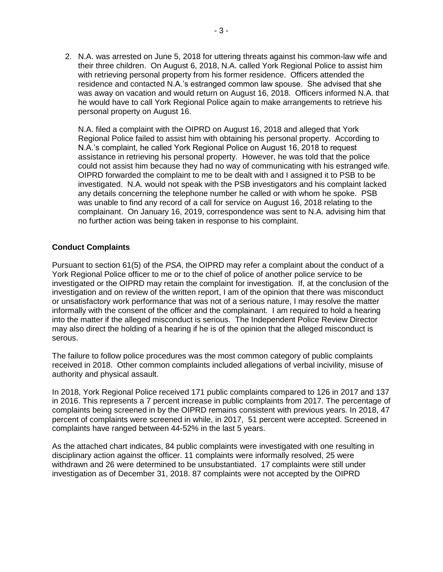2. N.A. was arrested on June 5, 2018 for uttering threats against his common-law wife and their three children. On August 6, 2018, N.A. called York Regional Police to assist him with retrieving personal property from his former residence. Officers attended the residence and contacted N.A.'s estranged common law spouse. She advised that she was away on vacation and would return on August 16, 2018. Officers informed N.A. that he would have to call York Regional Police again to make arrangements to retrieve his personal property on August 16.

N.A. filed a complaint with the OIPRD on August 16, 2018 and alleged that York Regional Police failed to assist him with obtaining his personal property. According to N.A.'s complaint, he called York Regional Police on August 16, 2018 to request assistance in retrieving his personal property. However, he was told that the police could not assist him because they had no way of communicating with his estranged wife. OIPRD forwarded the complaint to me to be dealt with and I assigned it to PSB to be investigated. N.A. would not speak with the PSB investigators and his complaint lacked any details concerning the telephone number he called or with whom he spoke. PSB was unable to find any record of a call for service on August 16, 2018 relating to the complainant. On January 16, 2019, correspondence was sent to N.A. advising him that no further action was being taken in response to his complaint.

# **Conduct Complaints**

Pursuant to section 61(5) of the *PSA*, the OIPRD may refer a complaint about the conduct of a York Regional Police officer to me or to the chief of police of another police service to be investigated or the OIPRD may retain the complaint for investigation. If, at the conclusion of the investigation and on review of the written report, I am of the opinion that there was misconduct or unsatisfactory work performance that was not of a serious nature, I may resolve the matter informally with the consent of the officer and the complainant. I am required to hold a hearing into the matter if the alleged misconduct is serious. The Independent Police Review Director may also direct the holding of a hearing if he is of the opinion that the alleged misconduct is serous.

The failure to follow police procedures was the most common category of public complaints received in 2018. Other common complaints included allegations of verbal incivility, misuse of authority and physical assault.

In 2018, York Regional Police received 171 public complaints compared to 126 in 2017 and 137 in 2016. This represents a 7 percent increase in public complaints from 2017. The percentage of complaints being screened in by the OIPRD remains consistent with previous years. In 2018, 47 percent of complaints were screened in while, in 2017, 51 percent were accepted. Screened in complaints have ranged between 44-52% in the last 5 years.

As the attached chart indicates, 84 public complaints were investigated with one resulting in disciplinary action against the officer. 11 complaints were informally resolved, 25 were withdrawn and 26 were determined to be unsubstantiated. 17 complaints were still under investigation as of December 31, 2018. 87 complaints were not accepted by the OIPRD